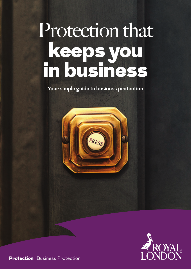# Protection that keeps you in business

**Your simple guide to business protection**





**Protection** | Business Protection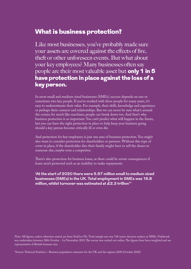# What is business protection?

Like most businesses, you've probably made sure your assets are covered against the effects of fire, theft or other unforeseen events. But what about your key employees? Many businesses often say people are their most valuable asset but only 1 in 5 have protection in place against the loss of a key person.

In most small and medium sized businesses (SMEs), success depends on one or sometimes two key people. If you've worked with these people for many years, it's easy to underestimate their value. For example, their skills, knowledge and experience or perhaps their contacts and relationships. But we can never be sure what's around the corner, for much like machines, people can break down too. And that's why business protection is so important. You can't predict what will happen in the future, but you can have the right protection in place to help keep your business going should a key person become critically ill or even die.

And protection for key employees is just one area of business protection. You might also want to consider protection for shareholders or partners. Without this type of cover in place, if the shareholder dies their family might have to sell the shares to someone else, maybe even a competitor.

There's also protection for business loans, as there could be severe consequences if loans aren't protected such as an inability to make repayments.

**'At the start of 2020 there were 5.97 million small to medium sized businesses (SMEs) in the UK. Total employment in SMEs was 16.8 million, whilst turnover was estimated at £2.3 trillion1'** 

Note: All figures, unless otherwise stated, are from YouGov Plc. Total sample size was 748 senior decision makers at SMEs. Fieldwork was undertaken between 28th October - 1st November 2019. The survey was carried out online. The figures have been weighted and are representative of British business size.

1 Source: National Statistics – Business population estimates for the UK and the regions 2020 (October 2020)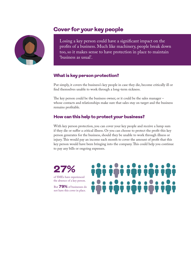# Cover for your key people



Losing a key person could have a significant impact on the profits of a business. Much like machinery, people break down too, so it makes sense to have protection in place to maintain 'business as usual'.

## What is key person protection?

Put simply, it covers the business's key people in case they die, become critically ill or find themselves unable to work through a long-term sickness.

The key person could be the business owner, or it could be the sales manager – whose contacts and relationships make sure that sales stay on target and the business remains profitable.

## How can this help to protect your business?

With key person protection, you can cover your key people and receive a lump sum if they die or suffer a critical illness. Or you can choose to protect the profit this key person generates for the business, should they be unable to work through illness or injury. This would pay an income each month to cover the amount of profit that this key person would have been bringing into the company. This could help you continue to pay any bills or ongoing expenses.

27%

of SMEs have experienced the absence of a key person.

But 79% of businesses do not have this cover in place.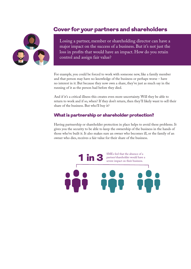## Cover for your partners and shareholders



Losing a partner, member or shareholding director can have a major impact on the success of a business. But it's not just the loss in profits that would have an impact. How do you retain control and assign fair value?

For example, you could be forced to work with someone new, like a family member and that person may have no knowledge of the business or perhaps worse – have no interest in it. But because they now own a share, they've just as much say in the running of it as the person had before they died.

And if it's a critical illness this creates even more uncertainty. Will they be able to return to work and if so, when? If they don't return, then they'll likely want to sell their share of the business. But who'll buy it?

#### What is partnership or shareholder protection?

Having partnership or shareholder protection in place helps to avoid these problems. It gives you the security to be able to keep the ownership of the business in the hands of those who've built it. It also makes sure an owner who becomes ill, or the family of an owner who dies, receives a fair value for their share of the business.

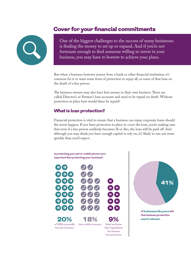# Cover for your financial commitments



One of the biggest challenges to the success of many businesses is finding the money to set up or expand. And if you're not fortunate enough to find someone willing to invest in your business, you may have to borrow to achieve your plans.

But when a business borrows money from a bank or other financial institution, it's common for it to want some form of protection to repay all, or some of that loan on the death of a key person.

The business owners may also have lent money to their own business. These are called Director's or Partner's loan accounts and need to be repaid on death. Without protection in place how would these be repaid?

## What is loan protection?

Financial protection is vital to ensure that a business can repay corporate loans should the worst happen. If you have protection in place to cover the loan, you're making sure that even if a key person suddenly becomes ill or dies, the loan will be paid off. And although you may think you have enough capital to rely on, it's likely to run out more quickly than you'd expect.







**that business protection**  wasn't relevant.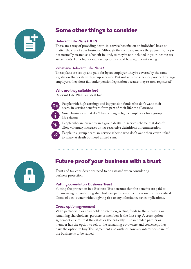# Some other things to consider

#### **Relevant Life Plans (RLP)**

These are a way of providing death-in-service benefits on an individual basis no matter the size of your business. Although the company makes the payments, they're not normally treated as a benefit in kind, so they're not included in your income tax assessments. For a higher rate taxpayer, this could be a significant saving.

#### **What are Relevant Life Plans?**

These plans are set up and paid for by an employer. They're covered by the same legislation that deals with group schemes. But unlike most schemes provided by large employers, they don't fall under pension legislation because they're 'non-registered'.

#### **Who are they suitable for?**

Relevant Life Plans are ideal for:

- People with high earnings and big pension funds who don't want their death-in-service benefits to form part of their lifetime allowance.
- Small businesses that don't have enough eligible employees for a group life scheme.
- People who are currently in a group death-in-service scheme that doesn't allow voluntary increases or has restrictive definitions of remuneration.
- People in a group death-in-service scheme who don't want their cover linked to salary at death but need a fixed sum.



# Future proof your business with a trust

Trust and tax considerations need to be assessed when considering business protection.

#### **Putting cover into a Business Trust**

Putting the protection in a Business Trust ensures that the benefits are paid to the surviving or continuing shareholders, partners or members on death or critical illness of a co-owner without giving rise to any inheritance tax complications.

#### **Cross option agreement**

With partnership or shareholder protection, getting funds to the surviving or remaining shareholders, partners or members is the first step. A cross option agreement ensures that the estate or the critically ill shareholder, partner or member has the option to sell to the remaining co-owners and conversely, they have the option to buy. This agreement also outlines how any interest or share of the business is to be valued.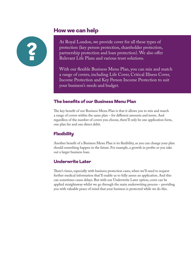## How we can help



At Royal London, we provide cover for all these types of protection (key person protection, shareholder protection, partnership protection and loan protection). We also offer Relevant Life Plans and various trust solutions.

With our flexible Business Menu Plan, you can mix and match a range of covers, including Life Cover, Critical Illness Cover, Income Protection and Key Person Income Protection to suit your business's needs and budget.

## The benefits of our Business Menu Plan

The key benefit of our Business Menu Plan is that it allows you to mix and match a range of covers within the same plan – for different amounts and terms. And regardless of the number of covers you choose, there'll only be one application form, one plan fee and one direct debit.

## **Flexibility**

Another benefit of a Business Menu Plan is its flexibility, as you can change your plan should something happen in the future. For example, a growth in profits or you take out a larger business loan.

## Underwrite Later

There's times, especially with business protection cases, when we'll need to request further medical information that'll enable us to fully assess an application. And this can sometimes cause delays. But with our Underwrite Later option, cover can be applied straightaway whilst we go through the main underwriting process – providing you with valuable peace of mind that your business is protected while we do this.